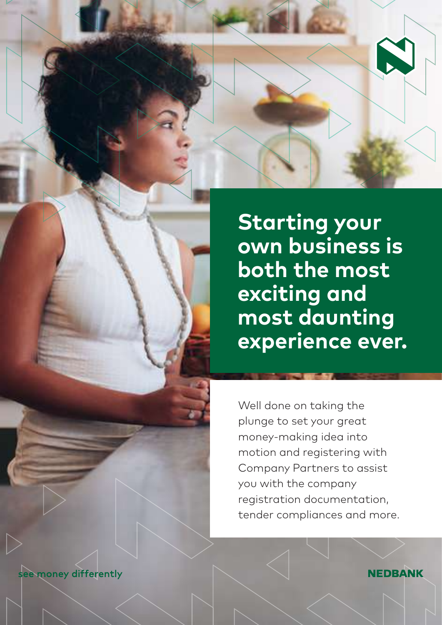

**Starting your own business is both the most exciting and most daunting experience ever.** 

Well done on taking the plunge to set your great money-making idea into motion and registering with Company Partners to assist you with the company registration documentation, tender compliances and more.

see money differently

**NEDBANK**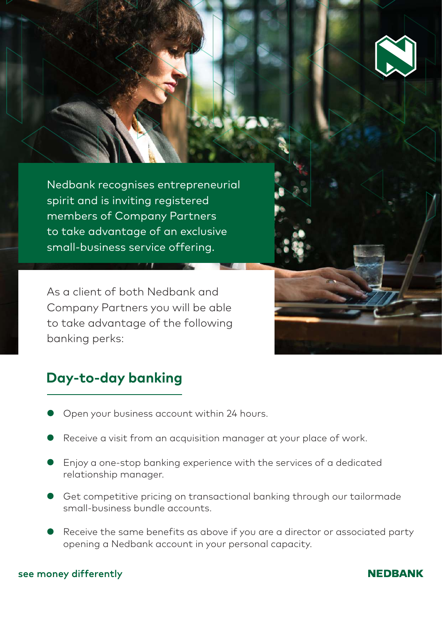

Nedbank recognises entrepreneurial spirit and is inviting registered members of Company Partners to take advantage of an exclusive small-business service offering.

As a client of both Nedbank and Company Partners you will be able to take advantage of the following banking perks:

# **Day-to-day banking**

- Open your business account within 24 hours.
- Receive a visit from an acquisition manager at your place of work.
- Enjoy a one-stop banking experience with the services of a dedicated relationship manager.
- Get competitive pricing on transactional banking through our tailormade small-business bundle accounts.
- Receive the same benefits as above if you are a director or associated party opening a Nedbank account in your personal capacity.

### see money differently

### **NEDBANK**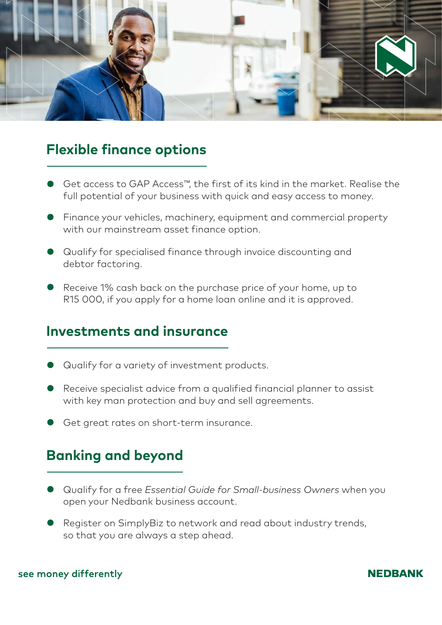

## **Flexible finance options**

- Get access to GAP Access™, the first of its kind in the market. Realise the full potential of your business with quick and easy access to money.
- Finance your vehicles, machinery, equipment and commercial property with our mainstream asset finance option.
- Qualify for specialised finance through invoice discounting and debtor factoring.
- Receive 1% cash back on the purchase price of your home, up to R15 000, if you apply for a home loan online and it is approved.

### **Investments and insurance**

- Qualify for a variety of investment products.
- Receive specialist advice from a qualified financial planner to assist with key man protection and buy and sell agreements.
- Get great rates on short-term insurance.

# **Banking and beyond**

- Qualify for a free *Essential Guide for Small-business Owners* when you open your Nedbank business account.
- Register on SimplyBiz to network and read about industry trends, so that you are always a step ahead.

### see money differently

### **NEDBANK**